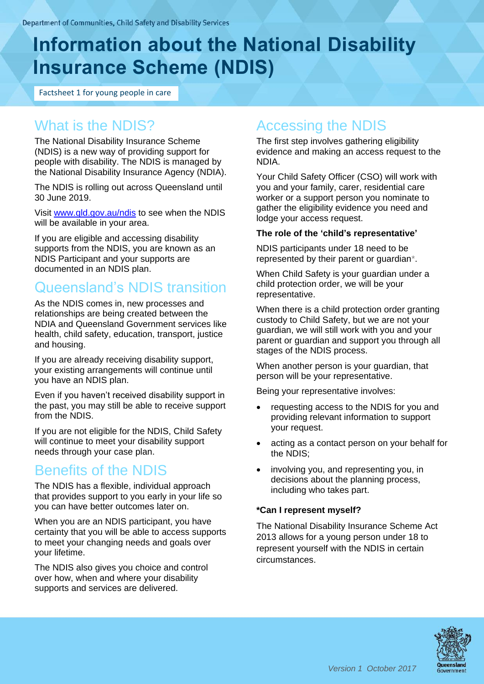# **Information about the National Disability Insurance Scheme (NDIS)**

Factsheet 1 for young people in care

# What is the NDIS?

The National Disability Insurance Scheme (NDIS) is a new way of providing support for people with disability. The NDIS is managed by the National Disability Insurance Agency (NDIA).

The NDIS is rolling out across Queensland until 30 June 2019.

Visit [www.qld.gov.au/ndis](http://www.qld.gov.au/ndis) to see when the NDIS will be available in your area.

If you are eligible and accessing disability supports from the NDIS, you are known as an NDIS Participant and your supports are documented in an NDIS plan.

# Queensland's NDIS transition

As the NDIS comes in, new processes and relationships are being created between the NDIA and Queensland Government services like health, child safety, education, transport, justice and housing.

If you are already receiving disability support, your existing arrangements will continue until you have an NDIS plan.

Even if you haven't received disability support in the past, you may still be able to receive support from the NDIS.

If you are not eligible for the NDIS, Child Safety will continue to meet your disability support needs through your case plan.

# Benefits of the NDIS

The NDIS has a flexible, individual approach that provides support to you early in your life so you can have better outcomes later on.

When you are an NDIS participant, you have certainty that you will be able to access supports to meet your changing needs and goals over your lifetime.

The NDIS also gives you choice and control over how, when and where your disability supports and services are delivered.

# Accessing the NDIS

The first step involves gathering eligibility evidence and making an access request to the NDIA.

Your Child Safety Officer (CSO) will work with you and your family, carer, residential care worker or a support person you nominate to gather the eligibility evidence you need and lodge your access request.

#### **The role of the 'child's representative'**

NDIS participants under 18 need to be represented by their parent or guardian\*.

When Child Safety is your guardian under a child protection order, we will be your representative.

When there is a child protection order granting custody to Child Safety, but we are not your guardian, we will still work with you and your parent or guardian and support you through all stages of the NDIS process.

When another person is your guardian, that person will be your representative.

Being your representative involves:

- requesting access to the NDIS for you and providing relevant information to support your request.
- acting as a contact person on your behalf for the NDIS;
- involving you, and representing you, in decisions about the planning process, including who takes part.

#### **\*Can I represent myself?**

The National Disability Insurance Scheme Act 2013 allows for a young person under 18 to represent yourself with the NDIS in certain circumstances.